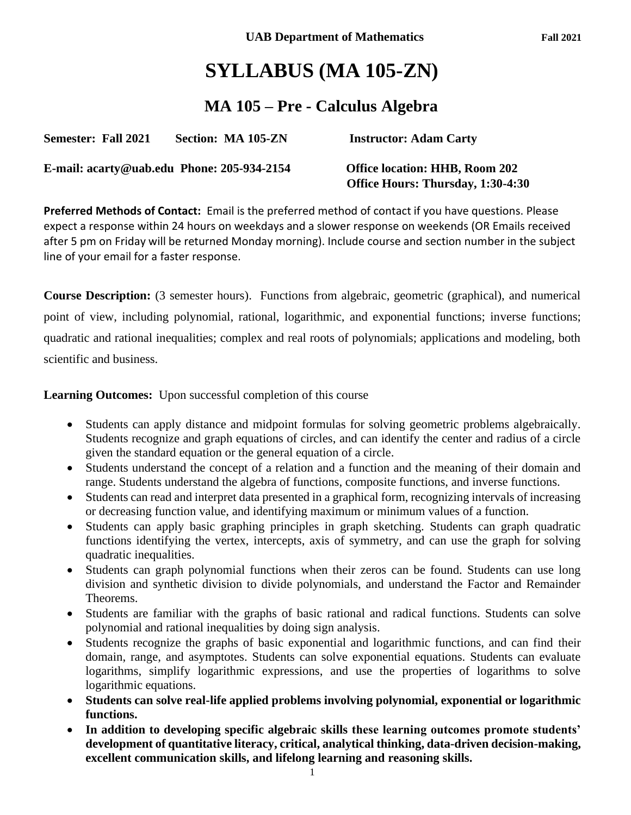# **SYLLABUS (MA 105-ZN)**

## **MA 105 – Pre - Calculus Algebra**

| <b>Semester: Fall 2021</b>                 | Section: MA 105-ZN | <b>Instructor: Adam Carty</b>                                       |
|--------------------------------------------|--------------------|---------------------------------------------------------------------|
| E-mail: acarty@uab.edu Phone: 205-934-2154 |                    | Office location: HHB, Room 202<br>Office Hours: Thursday, 1:30-4:30 |

**Preferred Methods of Contact:** Email is the preferred method of contact if you have questions. Please expect a response within 24 hours on weekdays and a slower response on weekends (OR Emails received after 5 pm on Friday will be returned Monday morning). Include course and section number in the subject line of your email for a faster response.

**Course Description:** (3 semester hours). Functions from algebraic, geometric (graphical), and numerical point of view, including polynomial, rational, logarithmic, and exponential functions; inverse functions; quadratic and rational inequalities; complex and real roots of polynomials; applications and modeling, both scientific and business.

**Learning Outcomes:** Upon successful completion of this course

- Students can apply distance and midpoint formulas for solving geometric problems algebraically. Students recognize and graph equations of circles, and can identify the center and radius of a circle given the standard equation or the general equation of a circle.
- Students understand the concept of a relation and a function and the meaning of their domain and range. Students understand the algebra of functions, composite functions, and inverse functions.
- Students can read and interpret data presented in a graphical form, recognizing intervals of increasing or decreasing function value, and identifying maximum or minimum values of a function.
- Students can apply basic graphing principles in graph sketching. Students can graph quadratic functions identifying the vertex, intercepts, axis of symmetry, and can use the graph for solving quadratic inequalities.
- Students can graph polynomial functions when their zeros can be found. Students can use long division and synthetic division to divide polynomials, and understand the Factor and Remainder Theorems.
- Students are familiar with the graphs of basic rational and radical functions. Students can solve polynomial and rational inequalities by doing sign analysis.
- Students recognize the graphs of basic exponential and logarithmic functions, and can find their domain, range, and asymptotes. Students can solve exponential equations. Students can evaluate logarithms, simplify logarithmic expressions, and use the properties of logarithms to solve logarithmic equations.
- **Students can solve real-life applied problems involving polynomial, exponential or logarithmic functions.**
- **In addition to developing specific algebraic skills these learning outcomes promote students' development of quantitative literacy, critical, analytical thinking, data-driven decision-making, excellent communication skills, and lifelong learning and reasoning skills.**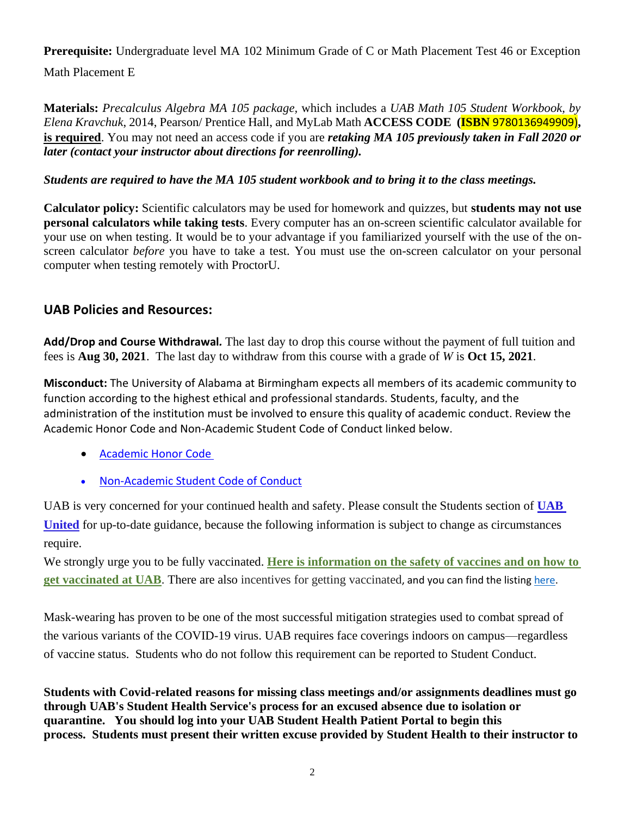**Prerequisite:** Undergraduate level MA 102 Minimum Grade of C or Math Placement Test 46 or Exception Math Placement E

**Materials:** *Precalculus Algebra MA 105 package,* which includes a *UAB Math 105 Student Workbook, by Elena Kravchuk*, 2014, Pearson/ Prentice Hall, and MyLab Math **ACCESS CODE (ISBN** 9780136949909)**, is required**. You may not need an access code if you are *retaking MA 105 previously taken in Fall 2020 or later (contact your instructor about directions for reenrolling).*

### *Students are required to have the MA 105 student workbook and to bring it to the class meetings.*

**Calculator policy:** Scientific calculators may be used for homework and quizzes, but **students may not use personal calculators while taking tests**. Every computer has an on-screen scientific calculator available for your use on when testing. It would be to your advantage if you familiarized yourself with the use of the onscreen calculator *before* you have to take a test. You must use the on-screen calculator on your personal computer when testing remotely with ProctorU.

## **UAB Policies and Resources:**

**Add/Drop and Course Withdrawal***.* The last day to drop this course without the payment of full tuition and fees is **Aug 30, 2021**. The last day to withdraw from this course with a grade of *W* is **Oct 15, 2021**.

**Misconduct:** The University of Alabama at Birmingham expects all members of its academic community to function according to the highest ethical and professional standards. Students, faculty, and the administration of the institution must be involved to ensure this quality of academic conduct. Review the Academic Honor Code and Non-Academic Student Code of Conduct linked below.

- [Academic Honor Code](http://www.uab.edu/students/one-stop/policies/academic-honor-code)
- [Non-Academic Student Code of Conduct](http://www.uab.edu/studentconduct)

UAB is very concerned for your continued health and safety. Please consult the Students section of **[UAB](https://www.uab.edu/uabunited/)  [United](https://www.uab.edu/uabunited/)** for up-to-date guidance, because the following information is subject to change as circumstances require.

We strongly urge you to be fully vaccinated. **[Here is information on the safety of vaccines and on how to](https://www.uab.edu/uabunited/covid-19-vaccine)  [get vaccinated at UAB](https://www.uab.edu/uabunited/covid-19-vaccine)**. There are also [incentives for getting vaccinated](https://www.uab.edu/students/health/), and you can find the listing [here.](https://click.reach.uab.edu/?qs=47be238f1408a5e9ffc3311090e06944f54ff34b193b549834fd84504dffa3eb264d7c1fe67b78063e67ec1aae795979f6e973ce282a4b60)

Mask-wearing has proven to be one of the most successful mitigation strategies used to combat spread of the various variants of the COVID-19 virus. UAB requires face coverings indoors on campus—regardless of vaccine status. Students who do not follow this requirement can be reported to Student Conduct.

**Students with Covid-related reasons for missing class meetings and/or assignments deadlines must go through UAB's Student Health Service's process for an excused absence due to isolation or quarantine. You should log into your UAB Student Health Patient Portal to begin this process. Students must present their written excuse provided by Student Health to their instructor to**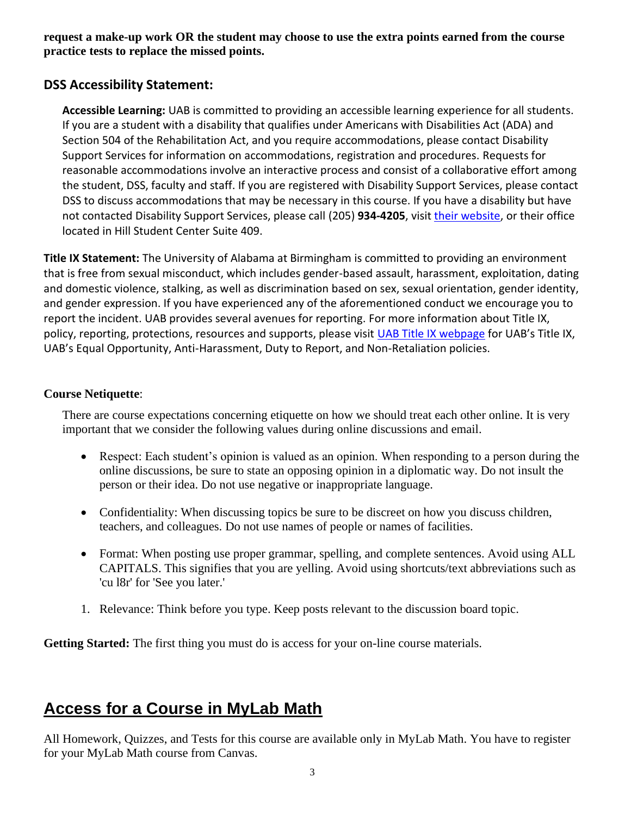**request a make-up work OR the student may choose to use the extra points earned from the course practice tests to replace the missed points.**

## **DSS Accessibility Statement:**

**Accessible Learning:** UAB is committed to providing an accessible learning experience for all students. If you are a student with a disability that qualifies under Americans with Disabilities Act (ADA) and Section 504 of the Rehabilitation Act, and you require accommodations, please contact Disability Support Services for information on accommodations, registration and procedures. Requests for reasonable accommodations involve an interactive process and consist of a collaborative effort among the student, DSS, faculty and staff. If you are registered with Disability Support Services, please contact DSS to discuss accommodations that may be necessary in this course. If you have a disability but have not contacted Disability Support Services, please call (205) **934-4205**, visit [their website,](http://www.uab.edu/dss) or their office located in Hill Student Center Suite 409.

**Title IX Statement:** The University of Alabama at Birmingham is committed to providing an environment that is free from sexual misconduct, which includes gender-based assault, harassment, exploitation, dating and domestic violence, stalking, as well as discrimination based on sex, sexual orientation, gender identity, and gender expression. If you have experienced any of the aforementioned conduct we encourage you to report the incident. UAB provides several avenues for reporting. For more information about Title IX, policy, reporting, protections, resources and supports, please visit [UAB Title IX webpage](http://www.uab.edu/titleix) for UAB's Title IX, UAB's Equal Opportunity, Anti-Harassment, Duty to Report, and Non-Retaliation policies.

### **Course Netiquette**:

There are course expectations concerning etiquette on how we should treat each other online. It is very important that we consider the following values during online discussions and email.

- Respect: Each student's opinion is valued as an opinion. When responding to a person during the online discussions, be sure to state an opposing opinion in a diplomatic way. Do not insult the person or their idea. Do not use negative or inappropriate language.
- Confidentiality: When discussing topics be sure to be discreet on how you discuss children, teachers, and colleagues. Do not use names of people or names of facilities.
- Format: When posting use proper grammar, spelling, and complete sentences. Avoid using ALL CAPITALS. This signifies that you are yelling. Avoid using shortcuts/text abbreviations such as 'cu l8r' for 'See you later.'
- 1. Relevance: Think before you type. Keep posts relevant to the discussion board topic.

**Getting Started:** The first thing you must do is access for your on-line course materials.

## **Access for a Course in MyLab Math**

All Homework, Quizzes, and Tests for this course are available only in MyLab Math. You have to register for your MyLab Math course from Canvas.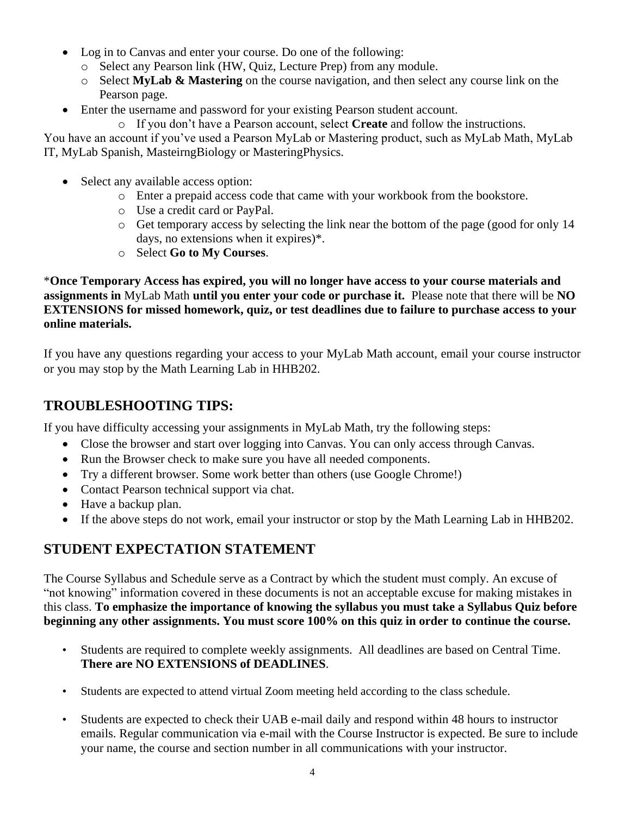- Log in to Canvas and enter your course. Do one of the following:
	- o Select any Pearson link (HW, Quiz, Lecture Prep) from any module.
	- o Select **MyLab & Mastering** on the course navigation, and then select any course link on the Pearson page.
- Enter the username and password for your existing Pearson student account.
	- o If you don't have a Pearson account, select **Create** and follow the instructions.

You have an account if you've used a Pearson MyLab or Mastering product, such as MyLab Math, MyLab IT, MyLab Spanish, MasteirngBiology or MasteringPhysics.

- Select any available access option:
	- o Enter a prepaid access code that came with your workbook from the bookstore.
	- o Use a credit card or PayPal.
	- o Get temporary access by selecting the link near the bottom of the page (good for only 14 days, no extensions when it expires)\*.
	- o Select **Go to My Courses**.

\***Once Temporary Access has expired, you will no longer have access to your course materials and assignments in** MyLab Math **until you enter your code or purchase it.** Please note that there will be **NO EXTENSIONS for missed homework, quiz, or test deadlines due to failure to purchase access to your online materials.**

If you have any questions regarding your access to your MyLab Math account, email your course instructor or you may stop by the Math Learning Lab in HHB202.

## **TROUBLESHOOTING TIPS:**

If you have difficulty accessing your assignments in MyLab Math, try the following steps:

- Close the browser and start over logging into Canvas. You can only access through Canvas.
- Run the Browser check to make sure you have all needed components.
- Try a different browser. Some work better than others (use Google Chrome!)
- Contact Pearson technical support via chat.
- Have a backup plan.
- If the above steps do not work, email your instructor or stop by the Math Learning Lab in HHB202.

## **STUDENT EXPECTATION STATEMENT**

The Course Syllabus and Schedule serve as a Contract by which the student must comply. An excuse of "not knowing" information covered in these documents is not an acceptable excuse for making mistakes in this class. **To emphasize the importance of knowing the syllabus you must take a Syllabus Quiz before beginning any other assignments. You must score 100% on this quiz in order to continue the course.**

- Students are required to complete weekly assignments. All deadlines are based on Central Time. **There are NO EXTENSIONS of DEADLINES**.
- Students are expected to attend virtual Zoom meeting held according to the class schedule.
- Students are expected to check their UAB e-mail daily and respond within 48 hours to instructor emails. Regular communication via e-mail with the Course Instructor is expected. Be sure to include your name, the course and section number in all communications with your instructor.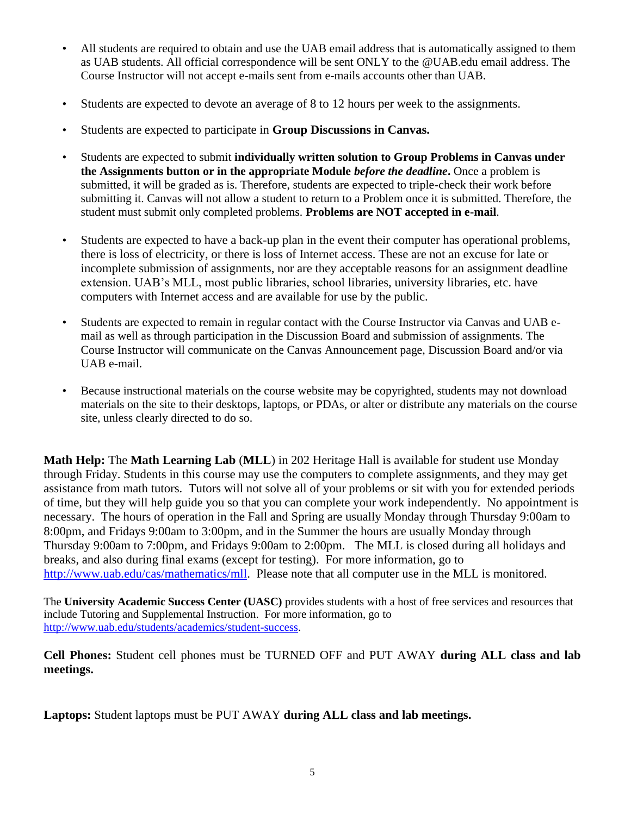- All students are required to obtain and use the UAB email address that is automatically assigned to them as UAB students. All official correspondence will be sent ONLY to the @UAB.edu email address. The Course Instructor will not accept e-mails sent from e-mails accounts other than UAB.
- Students are expected to devote an average of 8 to 12 hours per week to the assignments.
- Students are expected to participate in **Group Discussions in Canvas.**
- Students are expected to submit **individually written solution to Group Problems in Canvas under the Assignments button or in the appropriate Module** *before the deadline***.** Once a problem is submitted, it will be graded as is. Therefore, students are expected to triple-check their work before submitting it. Canvas will not allow a student to return to a Problem once it is submitted. Therefore, the student must submit only completed problems. **Problems are NOT accepted in e-mail**.
- Students are expected to have a back-up plan in the event their computer has operational problems, there is loss of electricity, or there is loss of Internet access. These are not an excuse for late or incomplete submission of assignments, nor are they acceptable reasons for an assignment deadline extension. UAB's MLL, most public libraries, school libraries, university libraries, etc. have computers with Internet access and are available for use by the public.
- Students are expected to remain in regular contact with the Course Instructor via Canvas and UAB email as well as through participation in the Discussion Board and submission of assignments. The Course Instructor will communicate on the Canvas Announcement page, Discussion Board and/or via UAB e-mail.
- Because instructional materials on the course website may be copyrighted, students may not download materials on the site to their desktops, laptops, or PDAs, or alter or distribute any materials on the course site, unless clearly directed to do so.

**Math Help:** The **Math Learning Lab** (**MLL**) in 202 Heritage Hall is available for student use Monday through Friday. Students in this course may use the computers to complete assignments, and they may get assistance from math tutors. Tutors will not solve all of your problems or sit with you for extended periods of time, but they will help guide you so that you can complete your work independently. No appointment is necessary. The hours of operation in the Fall and Spring are usually Monday through Thursday 9:00am to 8:00pm, and Fridays 9:00am to 3:00pm, and in the Summer the hours are usually Monday through Thursday 9:00am to 7:00pm, and Fridays 9:00am to 2:00pm. The MLL is closed during all holidays and breaks, and also during final exams (except for testing). For more information, go to [http://www.uab.edu/cas/mathematics/mll.](http://www.uab.edu/cas/mathematics/mll) Please note that all computer use in the MLL is monitored.

The **University Academic Success Center (UASC)** provides students with a host of free services and resources that include Tutoring and Supplemental Instruction. For more information, go to [http://www.uab.edu/students/academics/student-success.](http://www.uab.edu/students/academics/student-success)

**Cell Phones:** Student cell phones must be TURNED OFF and PUT AWAY **during ALL class and lab meetings.**

**Laptops:** Student laptops must be PUT AWAY **during ALL class and lab meetings.**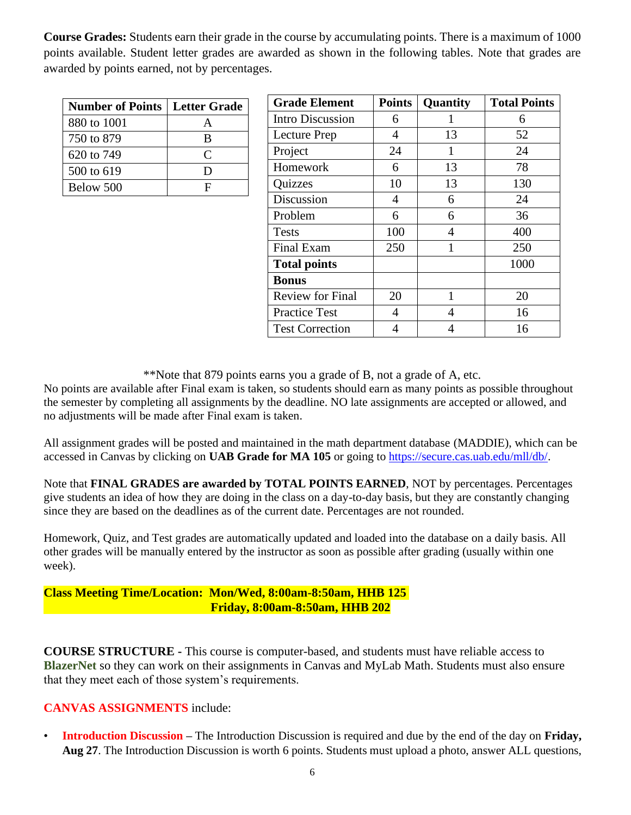**Course Grades:** Students earn their grade in the course by accumulating points. There is a maximum of 1000 points available. Student letter grades are awarded as shown in the following tables. Note that grades are awarded by points earned, not by percentages.

| <b>Number of Points   Letter Grade  </b> |           |  |  |
|------------------------------------------|-----------|--|--|
| 880 to 1001                              |           |  |  |
| 750 to 879                               | В         |  |  |
| 620 to 749                               | $\subset$ |  |  |
| 500 to 619                               | ו ו       |  |  |
| Below 500                                | H         |  |  |

| <b>Grade Element</b>    | <b>Points</b> | Quantity | <b>Total Points</b> |
|-------------------------|---------------|----------|---------------------|
| <b>Intro Discussion</b> | 6             |          | 6                   |
| Lecture Prep            | 4             | 13       | 52                  |
| Project                 | 24            | 1        | 24                  |
| Homework                | 6             | 13       | 78                  |
| Quizzes                 | 10            | 13       | 130                 |
| Discussion              | 4             | 6        | 24                  |
| Problem                 | 6             | 6        | 36                  |
| <b>Tests</b>            | 100           | 4        | 400                 |
| Final Exam              | 250           | 1        | 250                 |
| <b>Total points</b>     |               |          | 1000                |
| <b>Bonus</b>            |               |          |                     |
| <b>Review for Final</b> | 20            | 1        | 20                  |
| <b>Practice Test</b>    | 4             | 4        | 16                  |
| <b>Test Correction</b>  | 4             | 4        | 16                  |

\*\*Note that 879 points earns you a grade of B, not a grade of A, etc.

No points are available after Final exam is taken, so students should earn as many points as possible throughout the semester by completing all assignments by the deadline. NO late assignments are accepted or allowed, and no adjustments will be made after Final exam is taken.

All assignment grades will be posted and maintained in the math department database (MADDIE), which can be accessed in Canvas by clicking on **UAB Grade for MA 105** or going to https://secure.cas.uab.edu/mll/db/.

Note that **FINAL GRADES** are awarded by **TOTAL POINTS EARNED**, NOT by percentages. Percentages give students an idea of how they are doing in the class on a day-to-day basis, but they are constantly changing since they are based on the deadlines as of the current date. Percentages are not rounded.

Homework, Quiz, and Test grades are automatically updated and loaded into the database on a daily basis. All other grades will be manually entered by the instructor as soon as possible after grading (usually within one week).

#### **Class Meeting Time/Location: Mon/Wed, 8:00am-8:50am, HHB 125 Friday, 8:00am-8:50am, HHB 202**

**COURSE STRUCTURE -** This course is computer-based, and students must have reliable access to **BlazerNet** so they can work on their assignments in Canvas and MyLab Math. Students must also ensure that they meet each of those system's requirements.

#### **CANVAS ASSIGNMENTS** include:

• **Introduction Discussion –** The Introduction Discussion is required and due by the end of the day on **Friday, Aug 27**. The Introduction Discussion is worth 6 points. Students must upload a photo, answer ALL questions,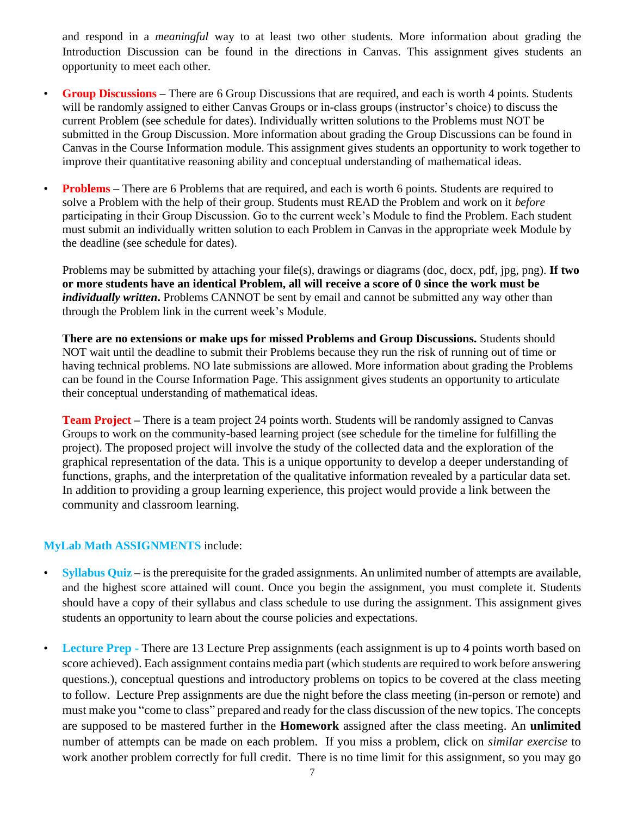and respond in a *meaningful* way to at least two other students. More information about grading the Introduction Discussion can be found in the directions in Canvas. This assignment gives students an opportunity to meet each other.

- **Group Discussions –** There are 6 Group Discussions that are required, and each is worth 4 points. Students will be randomly assigned to either Canvas Groups or in-class groups (instructor's choice) to discuss the current Problem (see schedule for dates). Individually written solutions to the Problems must NOT be submitted in the Group Discussion. More information about grading the Group Discussions can be found in Canvas in the Course Information module. This assignment gives students an opportunity to work together to improve their quantitative reasoning ability and conceptual understanding of mathematical ideas.
- **Problems –** There are 6 Problems that are required, and each is worth 6 points. Students are required to solve a Problem with the help of their group. Students must READ the Problem and work on it *before*  participating in their Group Discussion. Go to the current week's Module to find the Problem. Each student must submit an individually written solution to each Problem in Canvas in the appropriate week Module by the deadline (see schedule for dates).

Problems may be submitted by attaching your file(s), drawings or diagrams (doc, docx, pdf, jpg, png). **If two or more students have an identical Problem, all will receive a score of 0 since the work must be**  *individually written*. Problems CANNOT be sent by email and cannot be submitted any way other than through the Problem link in the current week's Module.

**There are no extensions or make ups for missed Problems and Group Discussions.** Students should NOT wait until the deadline to submit their Problems because they run the risk of running out of time or having technical problems. NO late submissions are allowed. More information about grading the Problems can be found in the Course Information Page. This assignment gives students an opportunity to articulate their conceptual understanding of mathematical ideas.

**Team Project –** There is a team project 24 points worth. Students will be randomly assigned to Canvas Groups to work on the community-based learning project (see schedule for the timeline for fulfilling the project). The proposed project will involve the study of the collected data and the exploration of the graphical representation of the data. This is a unique opportunity to develop a deeper understanding of functions, graphs, and the interpretation of the qualitative information revealed by a particular data set. In addition to providing a group learning experience, this project would provide a link between the community and classroom learning.

#### **MyLab Math ASSIGNMENTS** include:

- **Syllabus Quiz** is the prerequisite for the graded assignments. An unlimited number of attempts are available, and the highest score attained will count. Once you begin the assignment, you must complete it. Students should have a copy of their syllabus and class schedule to use during the assignment. This assignment gives students an opportunity to learn about the course policies and expectations.
- **Lecture Prep** There are 13 Lecture Prep assignments (each assignment is up to 4 points worth based on score achieved). Each assignment contains media part (which students are required to work before answering questions.), conceptual questions and introductory problems on topics to be covered at the class meeting to follow. Lecture Prep assignments are due the night before the class meeting (in-person or remote) and must make you "come to class" prepared and ready for the class discussion of the new topics. The concepts are supposed to be mastered further in the **Homework** assigned after the class meeting. An **unlimited** number of attempts can be made on each problem. If you miss a problem, click on *similar exercise* to work another problem correctly for full credit. There is no time limit for this assignment, so you may go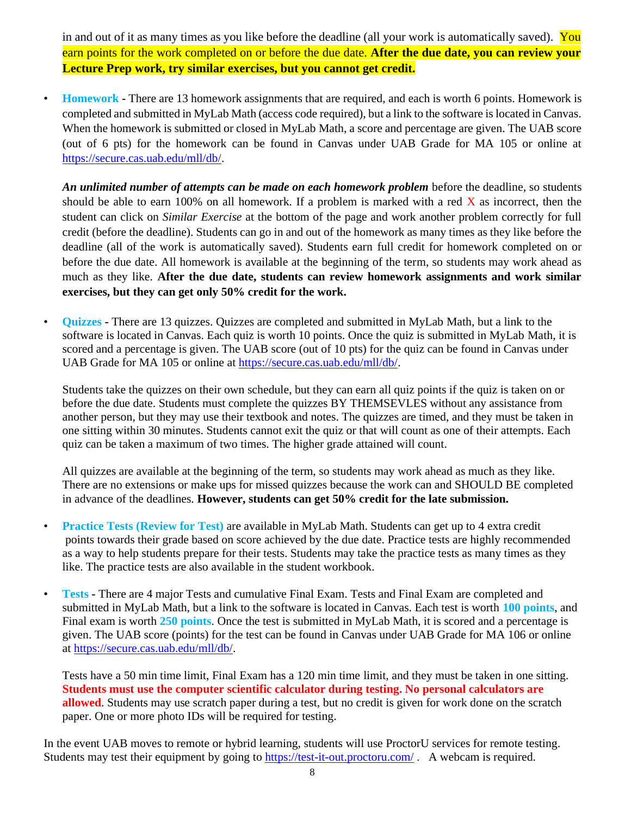in and out of it as many times as you like before the deadline (all your work is automatically saved). You earn points for the work completed on or before the due date. **After the due date, you can review your Lecture Prep work, try similar exercises, but you cannot get credit.**

• **Homework -** There are 13 homework assignments that are required, and each is worth 6 points. Homework is completed and submitted in MyLab Math (access code required), but a link to the software is located in Canvas. When the homework is submitted or closed in MyLab Math, a score and percentage are given. The UAB score (out of 6 pts) for the homework can be found in Canvas under UAB Grade for MA 105 or online at [https://secure.cas.uab.edu/mll/db/.](https://secure.cas.uab.edu/mll/db/)

*An unlimited number of attempts can be made on each homework problem* before the deadline, so students should be able to earn 100% on all homework. If a problem is marked with a red  $\overline{X}$  as incorrect, then the student can click on *Similar Exercise* at the bottom of the page and work another problem correctly for full credit (before the deadline). Students can go in and out of the homework as many times as they like before the deadline (all of the work is automatically saved). Students earn full credit for homework completed on or before the due date. All homework is available at the beginning of the term, so students may work ahead as much as they like. **After the due date, students can review homework assignments and work similar exercises, but they can get only 50% credit for the work.** 

• **Quizzes -** There are 13 quizzes. Quizzes are completed and submitted in MyLab Math, but a link to the software is located in Canvas. Each quiz is worth 10 points. Once the quiz is submitted in MyLab Math, it is scored and a percentage is given. The UAB score (out of 10 pts) for the quiz can be found in Canvas under UAB Grade for MA 105 or online at [https://secure.cas.uab.edu/mll/db/.](https://secure.cas.uab.edu/mll/db/)

Students take the quizzes on their own schedule, but they can earn all quiz points if the quiz is taken on or before the due date. Students must complete the quizzes BY THEMSEVLES without any assistance from another person, but they may use their textbook and notes. The quizzes are timed, and they must be taken in one sitting within 30 minutes. Students cannot exit the quiz or that will count as one of their attempts. Each quiz can be taken a maximum of two times. The higher grade attained will count.

All quizzes are available at the beginning of the term, so students may work ahead as much as they like. There are no extensions or make ups for missed quizzes because the work can and SHOULD BE completed in advance of the deadlines. **However, students can get 50% credit for the late submission.**

- **Practice Tests (Review for Test)** are available in MyLab Math. Students can get up to 4 extra credit points towards their grade based on score achieved by the due date. Practice tests are highly recommended as a way to help students prepare for their tests. Students may take the practice tests as many times as they like. The practice tests are also available in the student workbook.
- **Tests -** There are 4 major Tests and cumulative Final Exam. Tests and Final Exam are completed and submitted in MyLab Math, but a link to the software is located in Canvas. Each test is worth **100 points**, and Final exam is worth **250 points**. Once the test is submitted in MyLab Math, it is scored and a percentage is given. The UAB score (points) for the test can be found in Canvas under UAB Grade for MA 106 or online at https://secure.cas.uab.edu/mll/db/.

Tests have a 50 min time limit, Final Exam has a 120 min time limit, and they must be taken in one sitting. **Students must use the computer scientific calculator during testing. No personal calculators are allowed**. Students may use scratch paper during a test, but no credit is given for work done on the scratch paper. One or more photo IDs will be required for testing.

In the event UAB moves to remote or hybrid learning, students will use ProctorU services for remote testing. Students may test their equipment by going to <https://test-it-out.proctoru.com/>. A webcam is required.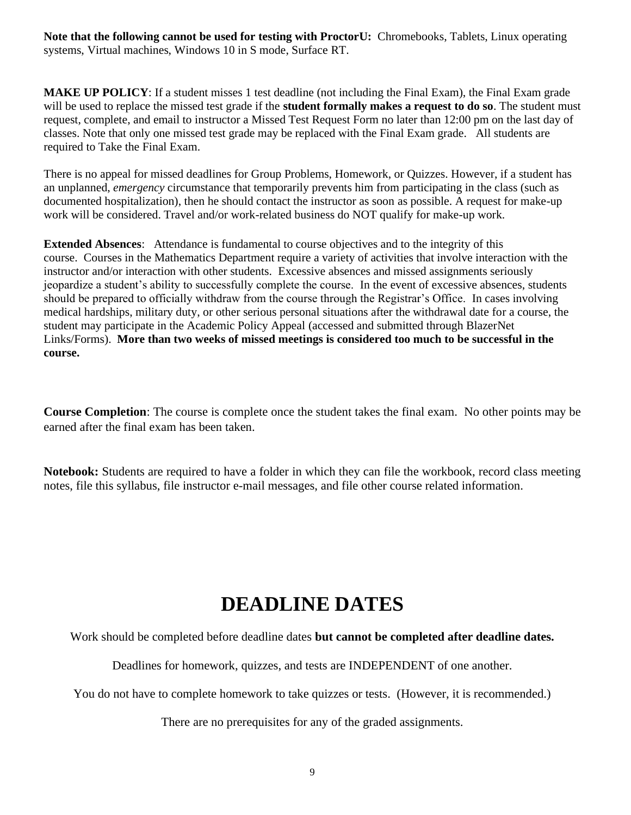**Note that the following cannot be used for testing with ProctorU:** Chromebooks, Tablets, Linux operating systems, Virtual machines, Windows 10 in S mode, Surface RT.

**MAKE UP POLICY**: If a student misses 1 test deadline (not including the Final Exam), the Final Exam grade will be used to replace the missed test grade if the **student formally makes a request to do so**. The student must request, complete, and email to instructor a Missed Test Request Form no later than 12:00 pm on the last day of classes. Note that only one missed test grade may be replaced with the Final Exam grade. All students are required to Take the Final Exam.

There is no appeal for missed deadlines for Group Problems, Homework, or Quizzes. However, if a student has an unplanned, *emergency* circumstance that temporarily prevents him from participating in the class (such as documented hospitalization), then he should contact the instructor as soon as possible. A request for make-up work will be considered. Travel and/or work-related business do NOT qualify for make-up work.

**Extended Absences**: Attendance is fundamental to course objectives and to the integrity of this course. Courses in the Mathematics Department require a variety of activities that involve interaction with the instructor and/or interaction with other students. Excessive absences and missed assignments seriously jeopardize a student's ability to successfully complete the course. In the event of excessive absences, students should be prepared to officially withdraw from the course through the Registrar's Office. In cases involving medical hardships, military duty, or other serious personal situations after the withdrawal date for a course, the student may participate in the Academic Policy Appeal (accessed and submitted through BlazerNet Links/Forms). **More than two weeks of missed meetings is considered too much to be successful in the course.**

**Course Completion**: The course is complete once the student takes the final exam. No other points may be earned after the final exam has been taken.

**Notebook:** Students are required to have a folder in which they can file the workbook, record class meeting notes, file this syllabus, file instructor e-mail messages, and file other course related information.

## **DEADLINE DATES**

Work should be completed before deadline dates **but cannot be completed after deadline dates.**

Deadlines for homework, quizzes, and tests are INDEPENDENT of one another.

You do not have to complete homework to take quizzes or tests. (However, it is recommended.)

There are no prerequisites for any of the graded assignments.